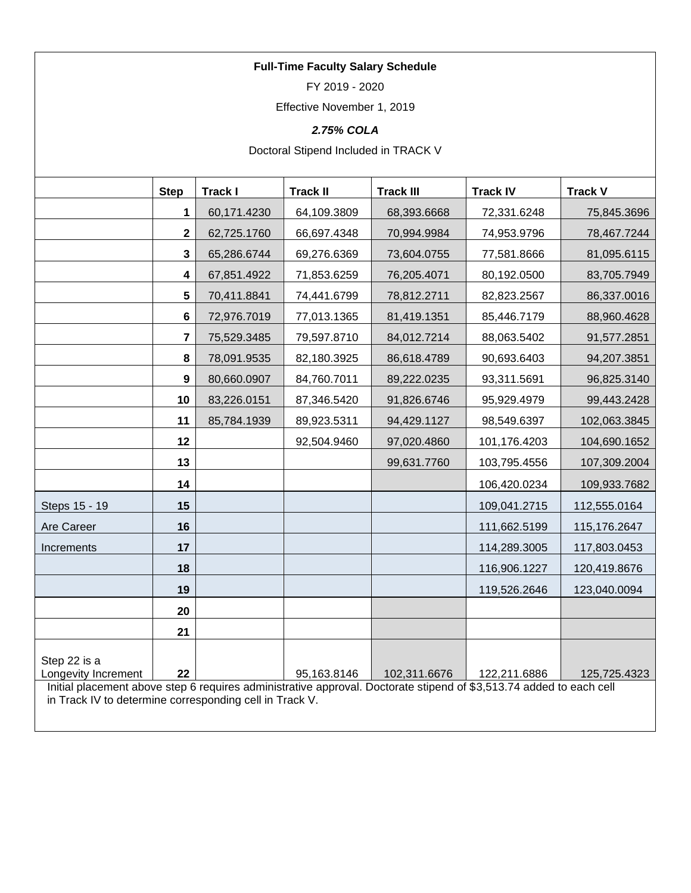# **Full-Time Faculty Salary Schedule**

FY 2019 - 2020

Effective November 1, 2019

# *2.75% COLA*

Doctoral Stipend Included in TRACK V

|                                                                                                                                                                                | <b>Step</b>             | <b>Track I</b> | <b>Track II</b> | <b>Track III</b> | <b>Track IV</b> | <b>Track V</b> |
|--------------------------------------------------------------------------------------------------------------------------------------------------------------------------------|-------------------------|----------------|-----------------|------------------|-----------------|----------------|
|                                                                                                                                                                                | 1                       | 60,171.4230    | 64,109.3809     | 68,393.6668      | 72,331.6248     | 75,845.3696    |
|                                                                                                                                                                                | $\overline{\mathbf{2}}$ | 62,725.1760    | 66,697.4348     | 70,994.9984      | 74,953.9796     | 78,467.7244    |
|                                                                                                                                                                                | 3                       | 65,286.6744    | 69,276.6369     | 73,604.0755      | 77,581.8666     | 81,095.6115    |
|                                                                                                                                                                                | $\overline{\mathbf{4}}$ | 67,851.4922    | 71,853.6259     | 76,205.4071      | 80,192.0500     | 83,705.7949    |
|                                                                                                                                                                                | 5                       | 70,411.8841    | 74,441.6799     | 78,812.2711      | 82,823.2567     | 86,337.0016    |
|                                                                                                                                                                                | 6                       | 72,976.7019    | 77,013.1365     | 81,419.1351      | 85,446.7179     | 88,960.4628    |
|                                                                                                                                                                                | $\overline{7}$          | 75,529.3485    | 79,597.8710     | 84,012.7214      | 88,063.5402     | 91,577.2851    |
|                                                                                                                                                                                | 8                       | 78,091.9535    | 82,180.3925     | 86,618.4789      | 90,693.6403     | 94,207.3851    |
|                                                                                                                                                                                | 9                       | 80,660.0907    | 84,760.7011     | 89,222.0235      | 93,311.5691     | 96,825.3140    |
|                                                                                                                                                                                | 10                      | 83,226.0151    | 87,346.5420     | 91,826.6746      | 95,929.4979     | 99,443.2428    |
|                                                                                                                                                                                | 11                      | 85,784.1939    | 89,923.5311     | 94,429.1127      | 98,549.6397     | 102,063.3845   |
|                                                                                                                                                                                | 12                      |                | 92,504.9460     | 97,020.4860      | 101,176.4203    | 104,690.1652   |
|                                                                                                                                                                                | 13                      |                |                 | 99,631.7760      | 103,795.4556    | 107,309.2004   |
|                                                                                                                                                                                | 14                      |                |                 |                  | 106,420.0234    | 109,933.7682   |
| Steps 15 - 19                                                                                                                                                                  | 15                      |                |                 |                  | 109,041.2715    | 112,555.0164   |
| Are Career                                                                                                                                                                     | 16                      |                |                 |                  | 111,662.5199    | 115,176.2647   |
| Increments                                                                                                                                                                     | 17                      |                |                 |                  | 114,289.3005    | 117,803.0453   |
|                                                                                                                                                                                | 18                      |                |                 |                  | 116,906.1227    | 120,419.8676   |
|                                                                                                                                                                                | 19                      |                |                 |                  | 119,526.2646    | 123,040.0094   |
|                                                                                                                                                                                | 20                      |                |                 |                  |                 |                |
|                                                                                                                                                                                | 21                      |                |                 |                  |                 |                |
| Step 22 is a                                                                                                                                                                   |                         |                |                 |                  |                 |                |
| Longevity Increment                                                                                                                                                            | 22                      |                | 95,163.8146     | 102,311.6676     | 122,211.6886    | 125,725.4323   |
| Initial placement above step 6 requires administrative approval. Doctorate stipend of \$3,513.74 added to each cell<br>in Track IV to determine corresponding cell in Track V. |                         |                |                 |                  |                 |                |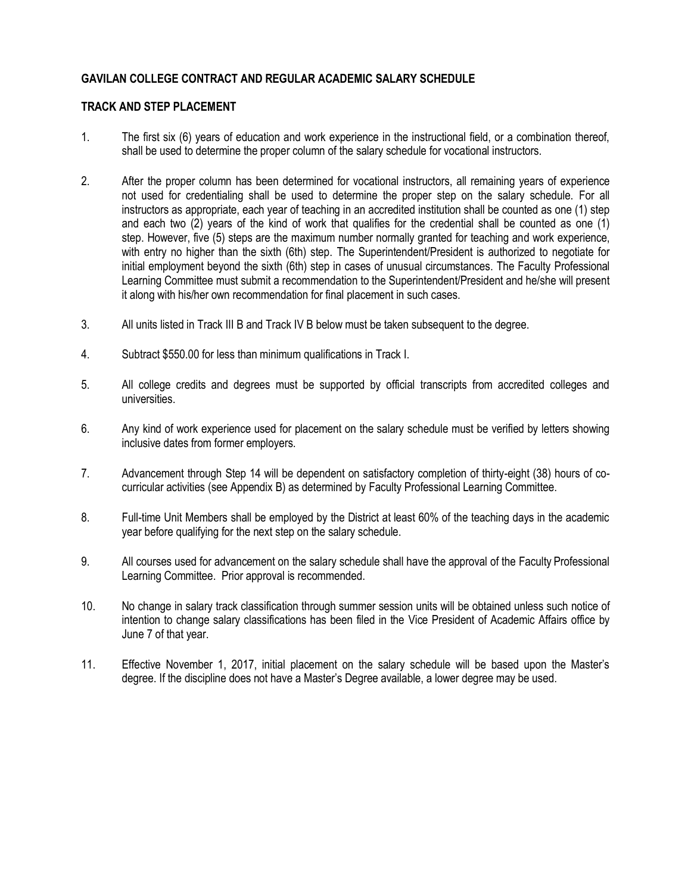# **GAVILAN COLLEGE CONTRACT AND REGULAR ACADEMIC SALARY SCHEDULE**

## **TRACK AND STEP PLACEMENT**

- 1. The first six (6) years of education and work experience in the instructional field, or a combination thereof, shall be used to determine the proper column of the salary schedule for vocational instructors.
- 2. After the proper column has been determined for vocational instructors, all remaining years of experience not used for credentialing shall be used to determine the proper step on the salary schedule. For all instructors as appropriate, each year of teaching in an accredited institution shall be counted as one (1) step and each two (2) years of the kind of work that qualifies for the credential shall be counted as one (1) step. However, five (5) steps are the maximum number normally granted for teaching and work experience, with entry no higher than the sixth (6th) step. The Superintendent/President is authorized to negotiate for initial employment beyond the sixth (6th) step in cases of unusual circumstances. The Faculty Professional Learning Committee must submit a recommendation to the Superintendent/President and he/she will present it along with his/her own recommendation for final placement in such cases.
- 3. All units listed in Track III B and Track IV B below must be taken subsequent to the degree.
- 4. Subtract \$550.00 for less than minimum qualifications in Track I.
- 5. All college credits and degrees must be supported by official transcripts from accredited colleges and universities.
- 6. Any kind of work experience used for placement on the salary schedule must be verified by letters showing inclusive dates from former employers.
- 7. Advancement through Step 14 will be dependent on satisfactory completion of thirty-eight (38) hours of cocurricular activities (see Appendix B) as determined by Faculty Professional Learning Committee.
- 8. Full-time Unit Members shall be employed by the District at least 60% of the teaching days in the academic year before qualifying for the next step on the salary schedule.
- 9. All courses used for advancement on the salary schedule shall have the approval of the Faculty Professional Learning Committee. Prior approval is recommended.
- 10. No change in salary track classification through summer session units will be obtained unless such notice of intention to change salary classifications has been filed in the Vice President of Academic Affairs office by June 7 of that year.
- 11. Effective November 1, 2017, initial placement on the salary schedule will be based upon the Master's degree. If the discipline does not have a Master's Degree available, a lower degree may be used.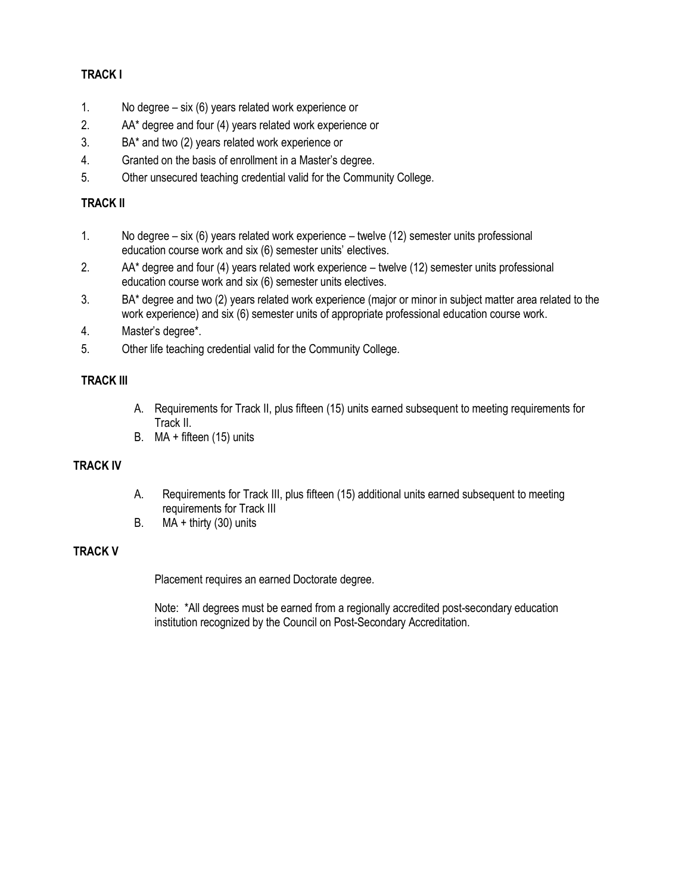# **TRACK I**

- 1. No degree six (6) years related work experience or
- 2. AA\* degree and four (4) years related work experience or
- 3. BA\* and two (2) years related work experience or
- 4. Granted on the basis of enrollment in a Master's degree.
- 5. Other unsecured teaching credential valid for the Community College.

# **TRACK II**

- 1. No degree six (6) years related work experience twelve (12) semester units professional education course work and six (6) semester units' electives.
- 2. AA\* degree and four (4) years related work experience twelve (12) semester units professional education course work and six (6) semester units electives.
- 3. BA\* degree and two (2) years related work experience (major or minor in subject matter area related to the work experience) and six (6) semester units of appropriate professional education course work.
- 4. Master's degree\*.
- 5. Other life teaching credential valid for the Community College.

# **TRACK III**

- A. Requirements for Track II, plus fifteen (15) units earned subsequent to meeting requirements for Track II.
- B. MA + fifteen (15) units

# **TRACK IV**

- A. Requirements for Track III, plus fifteen (15) additional units earned subsequent to meeting requirements for Track III
- B.  $MA + thirty (30) units$

# **TRACK V**

Placement requires an earned Doctorate degree.

Note: \*All degrees must be earned from a regionally accredited post-secondary education institution recognized by the Council on Post-Secondary Accreditation.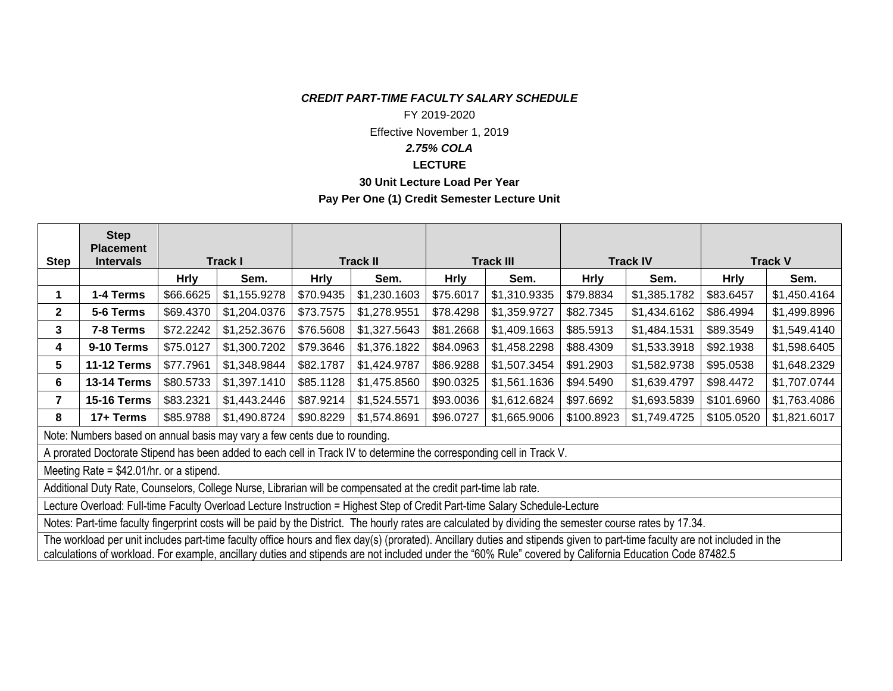### *CREDIT PART-TIME FACULTY SALARY SCHEDULE*

#### FY 2019-2020

Effective November 1, 2019

# *2.75% COLA*

#### **LECTURE**

#### **30 Unit Lecture Load Per Year**

## **Pay Per One (1) Credit Semester Lecture Unit**

|                                                                                                                                                                            | <b>Step</b><br><b>Placement</b> |             |              |                 |              |                  |              |                 |              |                |              |
|----------------------------------------------------------------------------------------------------------------------------------------------------------------------------|---------------------------------|-------------|--------------|-----------------|--------------|------------------|--------------|-----------------|--------------|----------------|--------------|
| <b>Step</b>                                                                                                                                                                | <b>Intervals</b>                | Track I     |              | <b>Track II</b> |              | <b>Track III</b> |              | <b>Track IV</b> |              | <b>Track V</b> |              |
|                                                                                                                                                                            |                                 | <b>Hrly</b> | Sem.         | <b>Hrly</b>     | Sem.         | <b>Hrly</b>      | Sem.         | <b>Hrly</b>     | Sem.         | <b>Hrly</b>    | Sem.         |
| 1                                                                                                                                                                          | 1-4 Terms                       | \$66.6625   | \$1,155.9278 | \$70.9435       | \$1,230.1603 | \$75.6017        | \$1,310.9335 | \$79.8834       | \$1,385.1782 | \$83.6457      | \$1,450.4164 |
| $\mathbf{2}$                                                                                                                                                               | 5-6 Terms                       | \$69.4370   | \$1,204.0376 | \$73.7575       | \$1,278.9551 | \$78.4298        | \$1,359.9727 | \$82.7345       | \$1,434.6162 | \$86.4994      | \$1,499.8996 |
| 3                                                                                                                                                                          | 7-8 Terms                       | \$72.2242   | \$1,252.3676 | \$76.5608       | \$1,327.5643 | \$81.2668        | \$1,409.1663 | \$85.5913       | \$1,484.1531 | \$89.3549      | \$1,549.4140 |
| 4                                                                                                                                                                          | 9-10 Terms                      | \$75.0127   | \$1,300.7202 | \$79.3646       | \$1,376.1822 | \$84.0963        | \$1,458.2298 | \$88.4309       | \$1,533.3918 | \$92.1938      | \$1,598.6405 |
| 5.                                                                                                                                                                         | <b>11-12 Terms</b>              | \$77.7961   | \$1,348.9844 | \$82.1787       | \$1,424.9787 | \$86.9288        | \$1,507.3454 | \$91.2903       | \$1,582.9738 | \$95.0538      | \$1,648.2329 |
| 6                                                                                                                                                                          | <b>13-14 Terms</b>              | \$80.5733   | \$1,397.1410 | \$85.1128       | \$1,475.8560 | \$90.0325        | \$1,561.1636 | \$94.5490       | \$1,639.4797 | \$98.4472      | \$1,707.0744 |
| 7                                                                                                                                                                          | <b>15-16 Terms</b>              | \$83.2321   | \$1,443.2446 | \$87.9214       | \$1,524.5571 | \$93.0036        | \$1,612.6824 | \$97.6692       | \$1,693.5839 | \$101.6960     | \$1,763.4086 |
| 8                                                                                                                                                                          | 17+ Terms                       | \$85.9788   | \$1,490.8724 | \$90.8229       | \$1,574.8691 | \$96.0727        | \$1,665.9006 | \$100.8923      | \$1,749.4725 | \$105.0520     | \$1,821.6017 |
| Note: Numbers based on annual basis may vary a few cents due to rounding.                                                                                                  |                                 |             |              |                 |              |                  |              |                 |              |                |              |
| A prorated Doctorate Stipend has been added to each cell in Track IV to determine the corresponding cell in Track V.                                                       |                                 |             |              |                 |              |                  |              |                 |              |                |              |
| Meeting Rate = $$42.01/hr$ . or a stipend.                                                                                                                                 |                                 |             |              |                 |              |                  |              |                 |              |                |              |
| Additional Duty Rate, Counselors, College Nurse, Librarian will be compensated at the credit part-time lab rate.                                                           |                                 |             |              |                 |              |                  |              |                 |              |                |              |
| Lecture Overload: Full-time Faculty Overload Lecture Instruction = Highest Step of Credit Part-time Salary Schedule-Lecture                                                |                                 |             |              |                 |              |                  |              |                 |              |                |              |
| Notes: Part-time faculty fingerprint costs will be paid by the District. The hourly rates are calculated by dividing the semester course rates by 17.34.                   |                                 |             |              |                 |              |                  |              |                 |              |                |              |
| The workload per unit includes part-time faculty office hours and flex day(s) (prorated). Ancillary duties and stipends given to part-time faculty are not included in the |                                 |             |              |                 |              |                  |              |                 |              |                |              |

calculations of workload. For example, ancillary duties and stipends are not included under the "60% Rule" covered by California Education Code 87482.5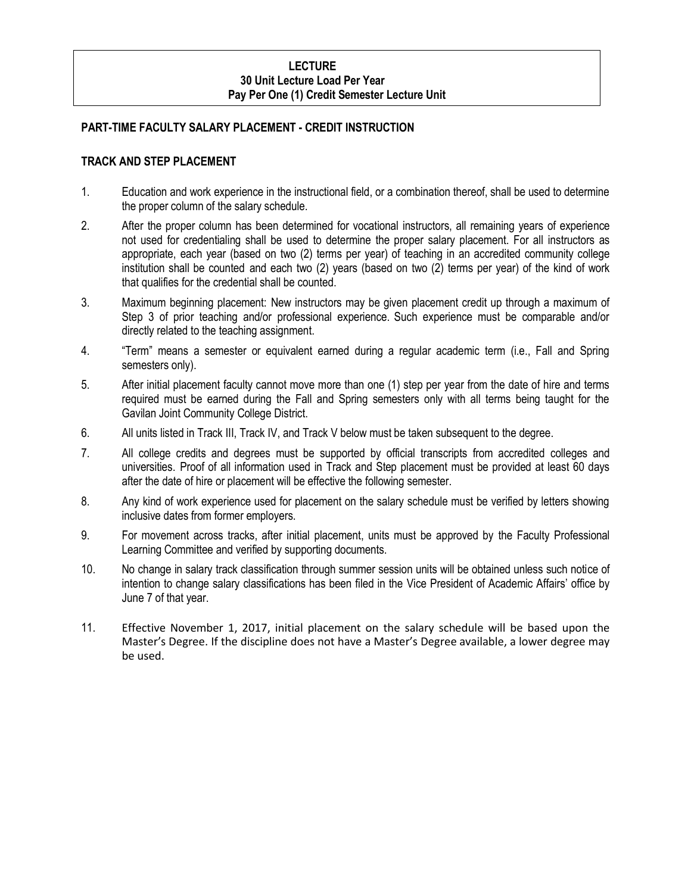### **LECTURE 30 Unit Lecture Load Per Year Pay Per One (1) Credit Semester Lecture Unit**

### **PART-TIME FACULTY SALARY PLACEMENT - CREDIT INSTRUCTION**

### **TRACK AND STEP PLACEMENT**

- 1. Education and work experience in the instructional field, or a combination thereof, shall be used to determine the proper column of the salary schedule.
- 2. After the proper column has been determined for vocational instructors, all remaining years of experience not used for credentialing shall be used to determine the proper salary placement. For all instructors as appropriate, each year (based on two (2) terms per year) of teaching in an accredited community college institution shall be counted and each two (2) years (based on two (2) terms per year) of the kind of work that qualifies for the credential shall be counted.
- 3. Maximum beginning placement: New instructors may be given placement credit up through a maximum of Step 3 of prior teaching and/or professional experience. Such experience must be comparable and/or directly related to the teaching assignment.
- 4. "Term" means a semester or equivalent earned during a regular academic term (i.e., Fall and Spring semesters only).
- 5. After initial placement faculty cannot move more than one (1) step per year from the date of hire and terms required must be earned during the Fall and Spring semesters only with all terms being taught for the Gavilan Joint Community College District.
- 6. All units listed in Track III, Track IV, and Track V below must be taken subsequent to the degree.
- 7. All college credits and degrees must be supported by official transcripts from accredited colleges and universities. Proof of all information used in Track and Step placement must be provided at least 60 days after the date of hire or placement will be effective the following semester.
- 8. Any kind of work experience used for placement on the salary schedule must be verified by letters showing inclusive dates from former employers.
- 9. For movement across tracks, after initial placement, units must be approved by the Faculty Professional Learning Committee and verified by supporting documents.
- 10. No change in salary track classification through summer session units will be obtained unless such notice of intention to change salary classifications has been filed in the Vice President of Academic Affairs' office by June 7 of that year.
- 11. Effective November 1, 2017, initial placement on the salary schedule will be based upon the Master's Degree. If the discipline does not have a Master's Degree available, a lower degree may be used.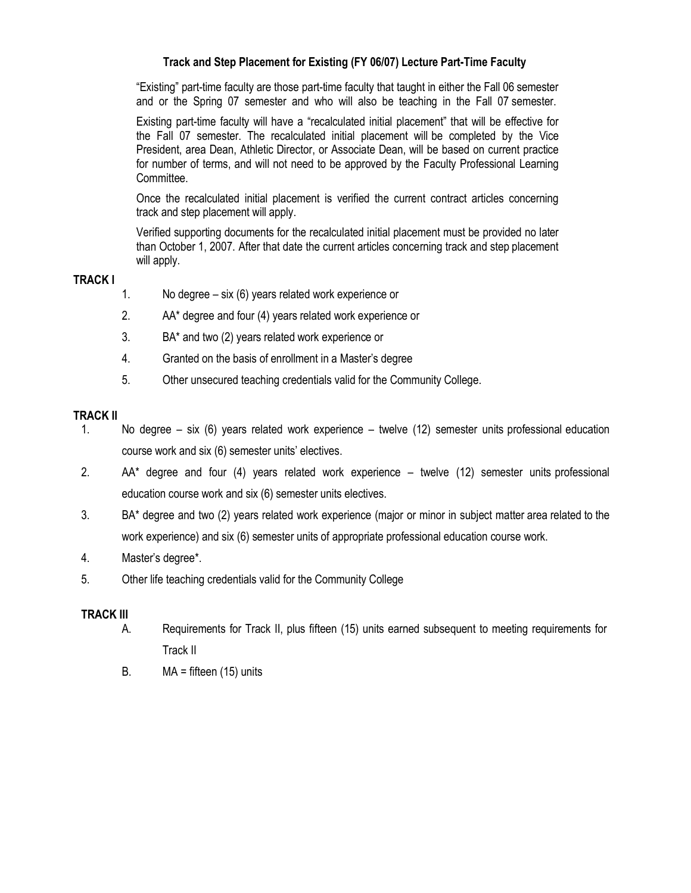# **Track and Step Placement for Existing (FY 06/07) Lecture Part-Time Faculty**

"Existing" part-time faculty are those part-time faculty that taught in either the Fall 06 semester and or the Spring 07 semester and who will also be teaching in the Fall 07 semester.

Existing part-time faculty will have a "recalculated initial placement" that will be effective for the Fall 07 semester. The recalculated initial placement will be completed by the Vice President, area Dean, Athletic Director, or Associate Dean, will be based on current practice for number of terms, and will not need to be approved by the Faculty Professional Learning Committee.

Once the recalculated initial placement is verified the current contract articles concerning track and step placement will apply.

Verified supporting documents for the recalculated initial placement must be provided no later than October 1, 2007. After that date the current articles concerning track and step placement will apply.

### **TRACK I**

- 1. No degree six (6) years related work experience or
- 2. AA\* degree and four (4) years related work experience or
- 3. BA\* and two (2) years related work experience or
- 4. Granted on the basis of enrollment in a Master's degree
- 5. Other unsecured teaching credentials valid for the Community College.

### **TRACK II**

- 1. No degree six (6) years related work experience twelve (12) semester units professional education course work and six (6) semester units' electives.
- 2. AA\* degree and four (4) years related work experience twelve (12) semester units professional education course work and six (6) semester units electives.
- 3. BA\* degree and two (2) years related work experience (major or minor in subject matter area related to the work experience) and six (6) semester units of appropriate professional education course work.
- 4. Master's degree\*.
- 5. Other life teaching credentials valid for the Community College

### **TRACK III**

- A. Requirements for Track II, plus fifteen (15) units earned subsequent to meeting requirements for Track II
- B.  $MA =$  fifteen (15) units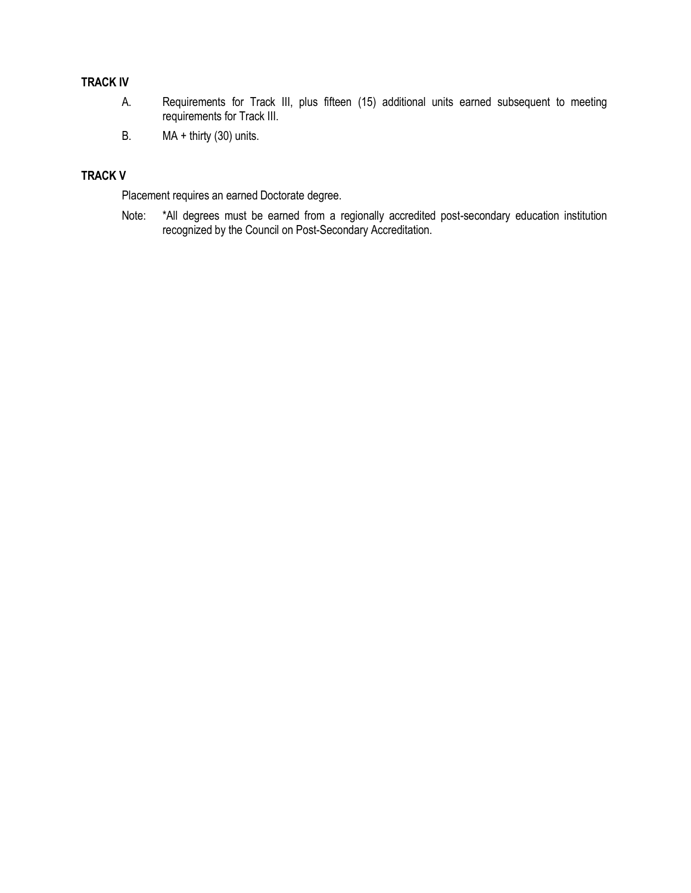# **TRACK IV**

- A. Requirements for Track III, plus fifteen (15) additional units earned subsequent to meeting requirements for Track III.
- B. MA + thirty (30) units.

# **TRACK V**

Placement requires an earned Doctorate degree.

Note: \*All degrees must be earned from a regionally accredited post-secondary education institution recognized by the Council on Post-Secondary Accreditation.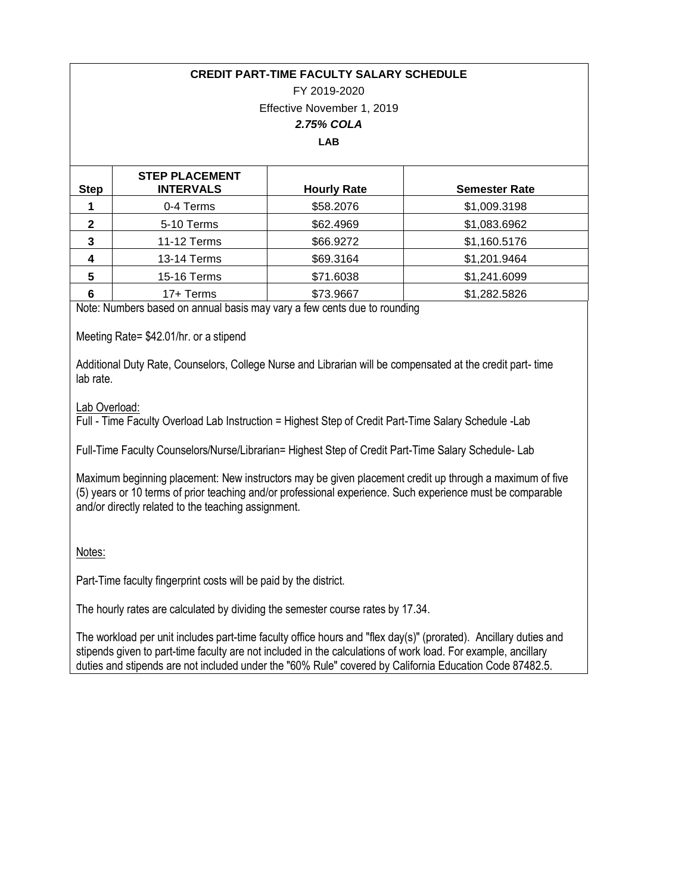### **CREDIT PART-TIME FACULTY SALARY SCHEDULE**

# FY 2019-2020 Effective November 1, 2019 *2.75% COLA*

### **LAB**

| <b>Step</b>  | <b>STEP PLACEMENT</b><br><b>INTERVALS</b> | <b>Hourly Rate</b> | <b>Semester Rate</b> |
|--------------|-------------------------------------------|--------------------|----------------------|
|              | 0-4 Terms                                 | \$58.2076          | \$1,009.3198         |
| $\mathbf{2}$ | 5-10 Terms                                | \$62.4969          | \$1,083.6962         |
| 3            | 11-12 Terms                               | \$66.9272          | \$1,160.5176         |
| 4            | <b>13-14 Terms</b>                        | \$69.3164          | \$1,201.9464         |
| 5            | 15-16 Terms                               | \$71.6038          | \$1,241.6099         |
| 6            | 17+ Terms                                 | \$73.9667          | \$1,282.5826         |

Note: Numbers based on annual basis may vary a few cents due to rounding

Meeting Rate= \$42.01/hr. or a stipend

Additional Duty Rate, Counselors, College Nurse and Librarian will be compensated at the credit part- time lab rate.

### Lab Overload:

Full - Time Faculty Overload Lab Instruction = Highest Step of Credit Part-Time Salary Schedule -Lab

Full-Time Faculty Counselors/Nurse/Librarian= Highest Step of Credit Part-Time Salary Schedule- Lab

Maximum beginning placement: New instructors may be given placement credit up through a maximum of five (5) years or 10 terms of prior teaching and/or professional experience. Such experience must be comparable and/or directly related to the teaching assignment.

Notes:

Part-Time faculty fingerprint costs will be paid by the district.

The hourly rates are calculated by dividing the semester course rates by 17.34.

The workload per unit includes part-time faculty office hours and "flex day(s)" (prorated). Ancillary duties and stipends given to part-time faculty are not included in the calculations of work load. For example, ancillary duties and stipends are not included under the "60% Rule" covered by California Education Code 87482.5.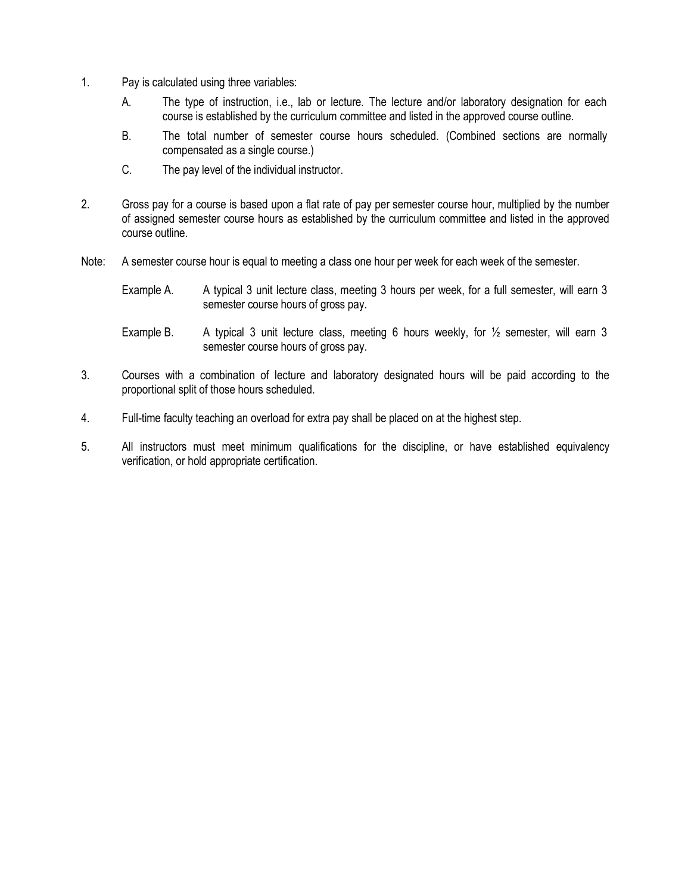- 1. Pay is calculated using three variables:
	- A. The type of instruction, i.e., lab or lecture. The lecture and/or laboratory designation for each course is established by the curriculum committee and listed in the approved course outline.
	- B. The total number of semester course hours scheduled. (Combined sections are normally compensated as a single course.)
	- C. The pay level of the individual instructor.
- 2. Gross pay for a course is based upon a flat rate of pay per semester course hour, multiplied by the number of assigned semester course hours as established by the curriculum committee and listed in the approved course outline.
- Note: A semester course hour is equal to meeting a class one hour per week for each week of the semester.
	- Example A. A typical 3 unit lecture class, meeting 3 hours per week, for a full semester, will earn 3 semester course hours of gross pay.
	- Example B. A typical 3 unit lecture class, meeting 6 hours weekly, for  $\frac{1}{2}$  semester, will earn 3 semester course hours of gross pay.
- 3. Courses with a combination of lecture and laboratory designated hours will be paid according to the proportional split of those hours scheduled.
- 4. Full-time faculty teaching an overload for extra pay shall be placed on at the highest step.
- 5. All instructors must meet minimum qualifications for the discipline, or have established equivalency verification, or hold appropriate certification.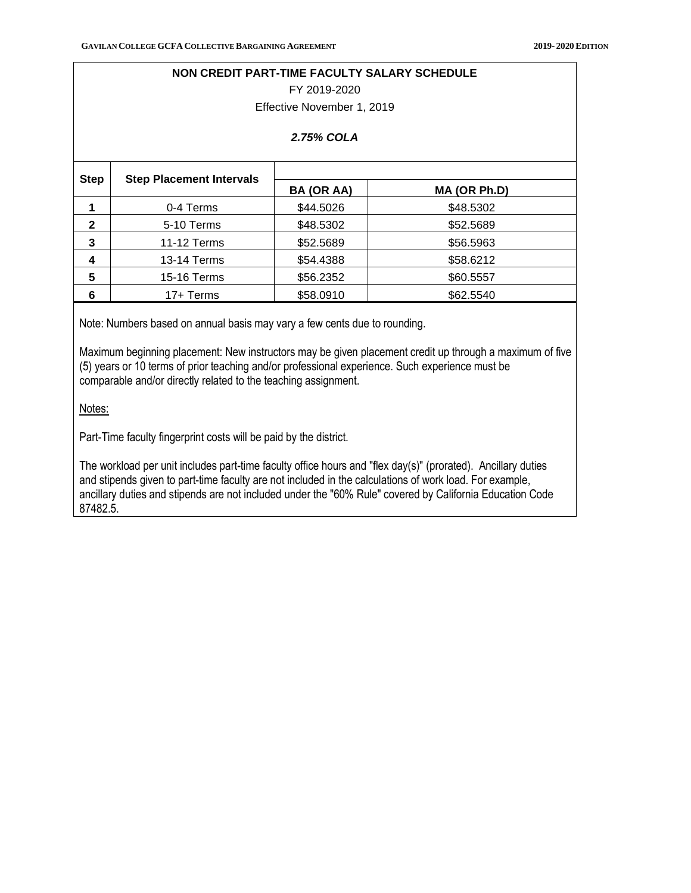#### **NON CREDIT PART-TIME FACULTY SALARY SCHEDULE**

FY 2019-2020

Effective November 1, 2019

#### *2.75% COLA*

| <b>Step</b>  |                                 |            |              |  |  |  |
|--------------|---------------------------------|------------|--------------|--|--|--|
|              | <b>Step Placement Intervals</b> | BA (OR AA) | MA (OR Ph.D) |  |  |  |
|              | 0-4 Terms                       | \$44.5026  | \$48.5302    |  |  |  |
| $\mathbf{2}$ | 5-10 Terms                      | \$48.5302  | \$52.5689    |  |  |  |
| 3            | 11-12 Terms                     | \$52.5689  | \$56.5963    |  |  |  |
| 4            | 13-14 Terms                     | \$54.4388  | \$58.6212    |  |  |  |
| 5            | 15-16 Terms                     | \$56.2352  | \$60.5557    |  |  |  |
| 6            | 17+ Terms                       | \$58.0910  | \$62.5540    |  |  |  |

Note: Numbers based on annual basis may vary a few cents due to rounding.

Maximum beginning placement: New instructors may be given placement credit up through a maximum of five (5) years or 10 terms of prior teaching and/or professional experience. Such experience must be comparable and/or directly related to the teaching assignment.

Notes:

Part-Time faculty fingerprint costs will be paid by the district.

The workload per unit includes part-time faculty office hours and "flex day(s)" (prorated). Ancillary duties and stipends given to part-time faculty are not included in the calculations of work load. For example, ancillary duties and stipends are not included under the "60% Rule" covered by California Education Code 87482.5.